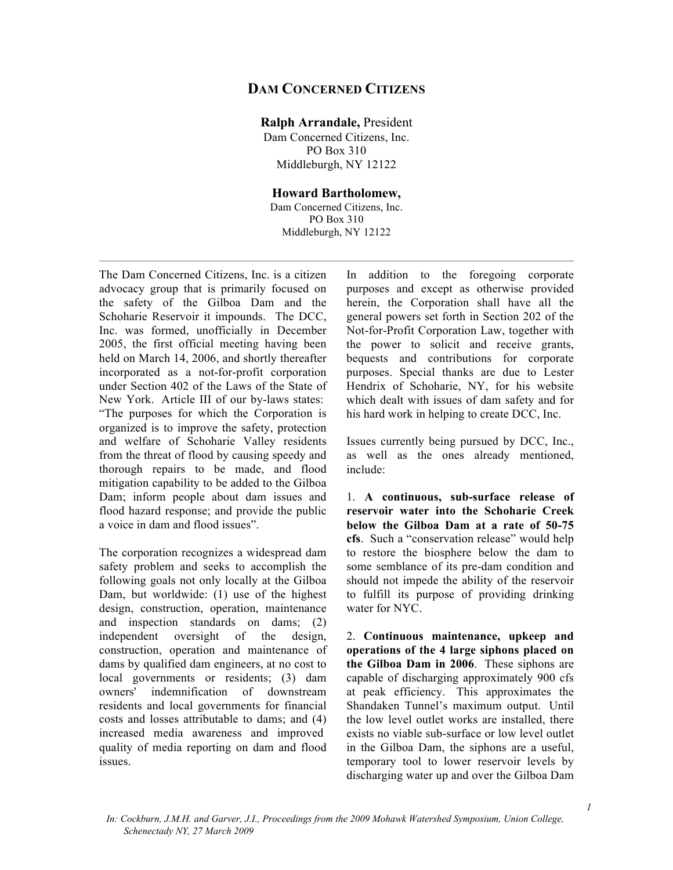## **DAM CONCERNED CITIZENS**

## **Ralph Arrandale,** President

Dam Concerned Citizens, Inc. PO Box 310 Middleburgh, NY 12122

## **Howard Bartholomew,**

Dam Concerned Citizens, Inc. PO Box 310 Middleburgh, NY 12122

The Dam Concerned Citizens, Inc. is a citizen advocacy group that is primarily focused on the safety of the Gilboa Dam and the Schoharie Reservoir it impounds. The DCC, Inc. was formed, unofficially in December 2005, the first official meeting having been held on March 14, 2006, and shortly thereafter incorporated as a not-for-profit corporation under Section 402 of the Laws of the State of New York. Article III of our by-laws states: "The purposes for which the Corporation is organized is to improve the safety, protection and welfare of Schoharie Valley residents from the threat of flood by causing speedy and thorough repairs to be made, and flood mitigation capability to be added to the Gilboa Dam; inform people about dam issues and flood hazard response; and provide the public a voice in dam and flood issues".

The corporation recognizes a widespread dam safety problem and seeks to accomplish the following goals not only locally at the Gilboa Dam, but worldwide: (1) use of the highest design, construction, operation, maintenance and inspection standards on dams; (2) independent oversight of the design, construction, operation and maintenance of dams by qualified dam engineers, at no cost to local governments or residents; (3) dam owners' indemnification of downstream residents and local governments for financial costs and losses attributable to dams; and (4) increased media awareness and improved quality of media reporting on dam and flood issues.

In addition to the foregoing corporate purposes and except as otherwise provided herein, the Corporation shall have all the general powers set forth in Section 202 of the Not-for-Profit Corporation Law, together with the power to solicit and receive grants, bequests and contributions for corporate purposes. Special thanks are due to Lester Hendrix of Schoharie, NY, for his website which dealt with issues of dam safety and for his hard work in helping to create DCC, Inc.

Issues currently being pursued by DCC, Inc., as well as the ones already mentioned, include:

1. **A continuous, sub-surface release of reservoir water into the Schoharie Creek below the Gilboa Dam at a rate of 50-75 cfs**. Such a "conservation release" would help to restore the biosphere below the dam to some semblance of its pre-dam condition and should not impede the ability of the reservoir to fulfill its purpose of providing drinking water for NYC.

2. **Continuous maintenance, upkeep and operations of the 4 large siphons placed on the Gilboa Dam in 2006**. These siphons are capable of discharging approximately 900 cfs at peak efficiency. This approximates the Shandaken Tunnel's maximum output. Until the low level outlet works are installed, there exists no viable sub-surface or low level outlet in the Gilboa Dam, the siphons are a useful, temporary tool to lower reservoir levels by discharging water up and over the Gilboa Dam